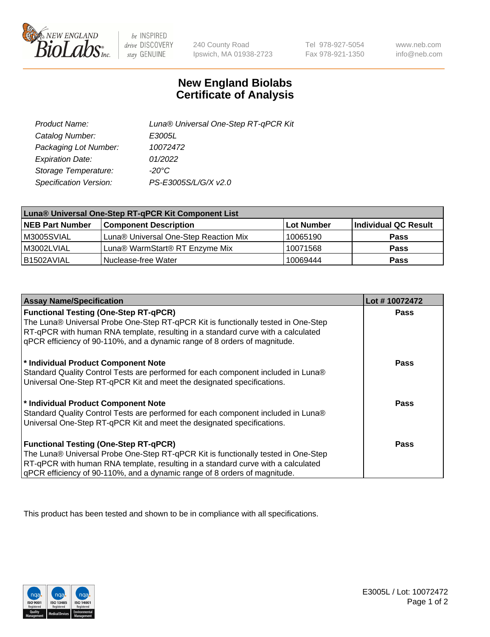

 $be$  INSPIRED drive DISCOVERY stay GENUINE

240 County Road Ipswich, MA 01938-2723

Tel 978-927-5054 Fax 978-921-1350 www.neb.com info@neb.com

## **New England Biolabs Certificate of Analysis**

| Product Name:           | Luna® Universal One-Step RT-qPCR Kit |
|-------------------------|--------------------------------------|
| Catalog Number:         | E3005L                               |
| Packaging Lot Number:   | 10072472                             |
| <b>Expiration Date:</b> | 01/2022                              |
| Storage Temperature:    | $-20^{\circ}$ C                      |
| Specification Version:  | PS-E3005S/L/G/X v2.0                 |

| Luna® Universal One-Step RT-qPCR Kit Component List |                                       |            |                      |  |
|-----------------------------------------------------|---------------------------------------|------------|----------------------|--|
| <b>NEB Part Number</b>                              | <b>Component Description</b>          | Lot Number | Individual QC Result |  |
| M3005SVIAL                                          | Luna® Universal One-Step Reaction Mix | 10065190   | <b>Pass</b>          |  |
| M3002LVIAL                                          | Luna® WarmStart® RT Enzyme Mix        | 10071568   | <b>Pass</b>          |  |
| B1502AVIAL                                          | Nuclease-free Water                   | 10069444   | <b>Pass</b>          |  |

| <b>Assay Name/Specification</b>                                                                                          | Lot #10072472 |
|--------------------------------------------------------------------------------------------------------------------------|---------------|
| <b>Functional Testing (One-Step RT-qPCR)</b>                                                                             | <b>Pass</b>   |
| The Luna® Universal Probe One-Step RT-qPCR Kit is functionally tested in One-Step                                        |               |
| RT-qPCR with human RNA template, resulting in a standard curve with a calculated                                         |               |
| gPCR efficiency of 90-110%, and a dynamic range of 8 orders of magnitude.                                                |               |
|                                                                                                                          | <b>Pass</b>   |
| * Individual Product Component Note<br>Standard Quality Control Tests are performed for each component included in Luna® |               |
| Universal One-Step RT-qPCR Kit and meet the designated specifications.                                                   |               |
|                                                                                                                          |               |
| * Individual Product Component Note                                                                                      | <b>Pass</b>   |
| Standard Quality Control Tests are performed for each component included in Luna®                                        |               |
| Universal One-Step RT-qPCR Kit and meet the designated specifications.                                                   |               |
|                                                                                                                          |               |
| <b>Functional Testing (One-Step RT-qPCR)</b>                                                                             | Pass          |
| The Luna® Universal Probe One-Step RT-qPCR Kit is functionally tested in One-Step                                        |               |
| RT-qPCR with human RNA template, resulting in a standard curve with a calculated                                         |               |
| gPCR efficiency of 90-110%, and a dynamic range of 8 orders of magnitude.                                                |               |

This product has been tested and shown to be in compliance with all specifications.